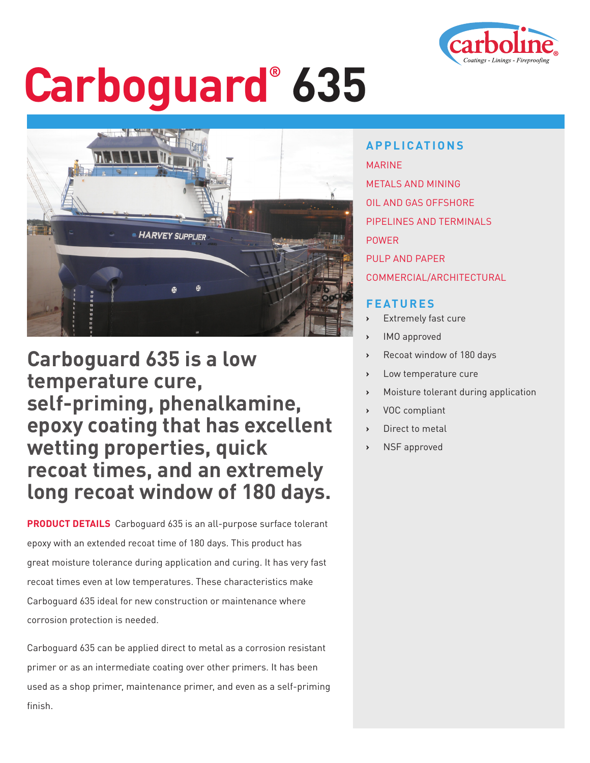

# **Carboguard® 635**



**Carboguard 635 is a low temperature cure, self-priming, phenalkamine, epoxy coating that has excellent wetting properties, quick recoat times, and an extremely long recoat window of 180 days.**

**PRODUCT DETAILS** Carboguard 635 is an all-purpose surface tolerant epoxy with an extended recoat time of 180 days. This product has great moisture tolerance during application and curing. It has very fast recoat times even at low temperatures. These characteristics make Carboguard 635 ideal for new construction or maintenance where corrosion protection is needed.

Carboguard 635 can be applied direct to metal as a corrosion resistant primer or as an intermediate coating over other primers. It has been used as a shop primer, maintenance primer, and even as a self-priming finish.

**APPLICATIONS** MARINE METALS AND MINING OIL AND GAS OFFSHORE PIPELINES AND TERMINALS POWER PULP AND PAPER COMMERCIAL/ARCHITECTURAL

### **FEATURES**

- **Extremely fast cure**
- **›** IMO approved
- **›** Recoat window of 180 days
- **›** Low temperature cure
- **›** Moisture tolerant during application
- **›** VOC compliant
- **›** Direct to metal
- **›** NSF approved